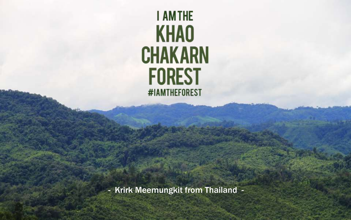## **I AMTHE KHAO CHAKARN FOREST** #IAMTHEFOREST

- Krirk Meemungkit from Thailand -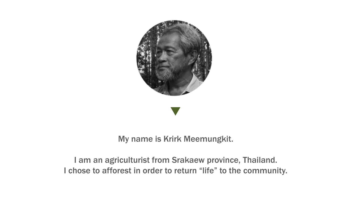

## My name is Krirk Meemungkit.

## I am an agriculturist from Srakaew province, Thailand. I chose to afforest in order to return "life" to the community.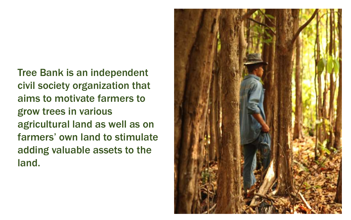Tree Bank is an independent civil society organization that aims to motivate farmers to grow trees in various agricultural land as well as on farmers' own land to stimulate adding valuable assets to the land.

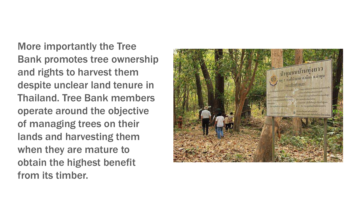More importantly the Tree Bank promotes tree ownership and rights to harvest them despite unclear land tenure in Thailand. Tree Bank members operate around the objective of managing trees on their lands and harvesting them when they are mature to obtain the highest benefit from its timber.

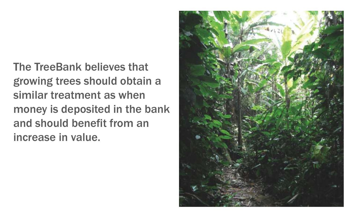The TreeBank believes that growing trees should obtain a similar treatment as when money is deposited in the bank and should benefit from an increase in value.

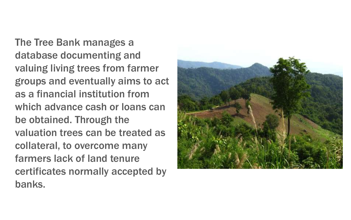The Tree Bank manages a database documenting and valuing living trees from farmer groups and eventually aims to act as a financial institution from which advance cash or loans can be obtained. Through the valuation trees can be treated as collateral, to overcome many farmers lack of land tenure certificates normally accepted by banks.

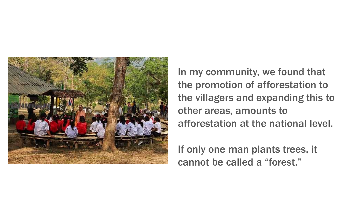

In my community, we found that the promotion of afforestation to the villagers and expanding this to other areas, amounts to afforestation at the national level.

If only one man plants trees, it cannot be called a "forest."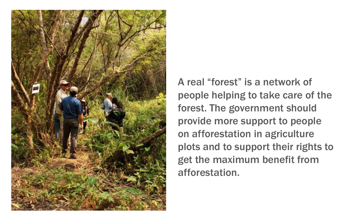

A real "forest" is a network of people helping to take care of the forest. The government should provide more support to people on afforestation in agriculture plots and to support their rights to get the maximum benefit from afforestation.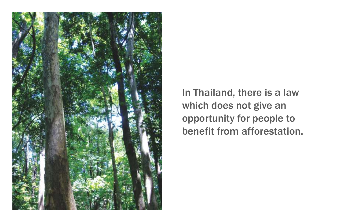

In Thailand, there is a law which does not give an opportunity for people to benefit from afforestation.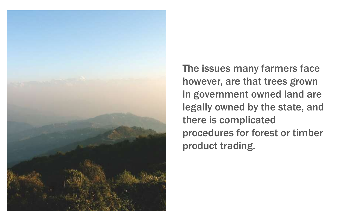

The issues many farmers face however, are that trees grown in government owned land are legally owned by the state, and there is complicated procedures for forest or timber product trading.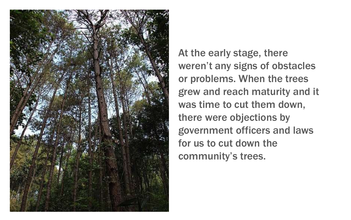

At the early stage, there weren't any signs of obstacles or problems. When the trees grew and reach maturity and it was time to cut them down, there were objections by government officers and laws for us to cut down the community's trees.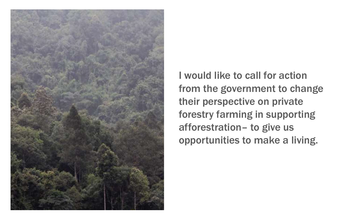

I would like to call for action from the government to change their perspective on private forestry farming in supporting afforestration– to give us opportunities to make a living.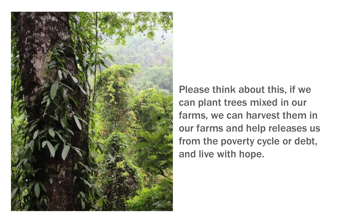

Please think about this, if we can plant trees mixed in our farms, we can harvest them in our farms and help releases us from the poverty cycle or debt, and live with hope.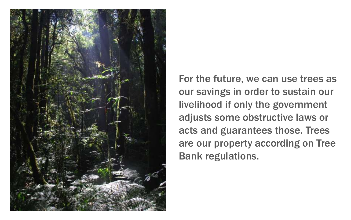

For the future, we can use trees as our savings in order to sustain our livelihood if only the government adjusts some obstructive laws or acts and guarantees those. Trees are our property according on Tree Bank regulations.